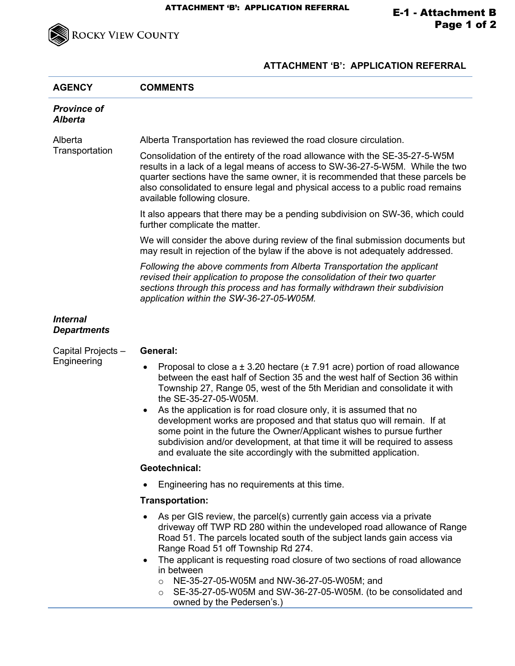

## **ATTACHMENT 'B': APPLICATION REFERRAL**

| <b>AGENCY</b>                         | <b>COMMENTS</b>                                                                                                                                                                                                                                                                                                                                                                                                                                                                                                                                  |
|---------------------------------------|--------------------------------------------------------------------------------------------------------------------------------------------------------------------------------------------------------------------------------------------------------------------------------------------------------------------------------------------------------------------------------------------------------------------------------------------------------------------------------------------------------------------------------------------------|
| <b>Province of</b><br><b>Alberta</b>  |                                                                                                                                                                                                                                                                                                                                                                                                                                                                                                                                                  |
| Alberta<br>Transportation             | Alberta Transportation has reviewed the road closure circulation.                                                                                                                                                                                                                                                                                                                                                                                                                                                                                |
|                                       | Consolidation of the entirety of the road allowance with the SE-35-27-5-W5M<br>results in a lack of a legal means of access to SW-36-27-5-W5M. While the two<br>quarter sections have the same owner, it is recommended that these parcels be<br>also consolidated to ensure legal and physical access to a public road remains<br>available following closure.                                                                                                                                                                                  |
|                                       | It also appears that there may be a pending subdivision on SW-36, which could<br>further complicate the matter.                                                                                                                                                                                                                                                                                                                                                                                                                                  |
|                                       | We will consider the above during review of the final submission documents but<br>may result in rejection of the bylaw if the above is not adequately addressed.                                                                                                                                                                                                                                                                                                                                                                                 |
|                                       | Following the above comments from Alberta Transportation the applicant<br>revised their application to propose the consolidation of their two quarter<br>sections through this process and has formally withdrawn their subdivision<br>application within the SW-36-27-05-W05M.                                                                                                                                                                                                                                                                  |
| <b>Internal</b><br><b>Departments</b> |                                                                                                                                                                                                                                                                                                                                                                                                                                                                                                                                                  |
| Capital Projects -<br>Engineering     | General:                                                                                                                                                                                                                                                                                                                                                                                                                                                                                                                                         |
|                                       | Proposal to close $a \pm 3.20$ hectare ( $\pm 7.91$ acre) portion of road allowance<br>$\bullet$<br>between the east half of Section 35 and the west half of Section 36 within<br>Township 27, Range 05, west of the 5th Meridian and consolidate it with<br>the SE-35-27-05-W05M.                                                                                                                                                                                                                                                               |
|                                       | As the application is for road closure only, it is assumed that no<br>$\bullet$<br>development works are proposed and that status quo will remain. If at<br>some point in the future the Owner/Applicant wishes to pursue further<br>subdivision and/or development, at that time it will be required to assess<br>and evaluate the site accordingly with the submitted application.                                                                                                                                                             |
|                                       | <b>Geotechnical:</b>                                                                                                                                                                                                                                                                                                                                                                                                                                                                                                                             |
|                                       | Engineering has no requirements at this time.                                                                                                                                                                                                                                                                                                                                                                                                                                                                                                    |
|                                       | Transportation:                                                                                                                                                                                                                                                                                                                                                                                                                                                                                                                                  |
|                                       | As per GIS review, the parcel(s) currently gain access via a private<br>$\bullet$<br>driveway off TWP RD 280 within the undeveloped road allowance of Range<br>Road 51. The parcels located south of the subject lands gain access via<br>Range Road 51 off Township Rd 274.<br>The applicant is requesting road closure of two sections of road allowance<br>٠<br>in between<br>NE-35-27-05-W05M and NW-36-27-05-W05M; and<br>$\circ$<br>SE-35-27-05-W05M and SW-36-27-05-W05M. (to be consolidated and<br>$\circ$<br>owned by the Pedersen's.) |